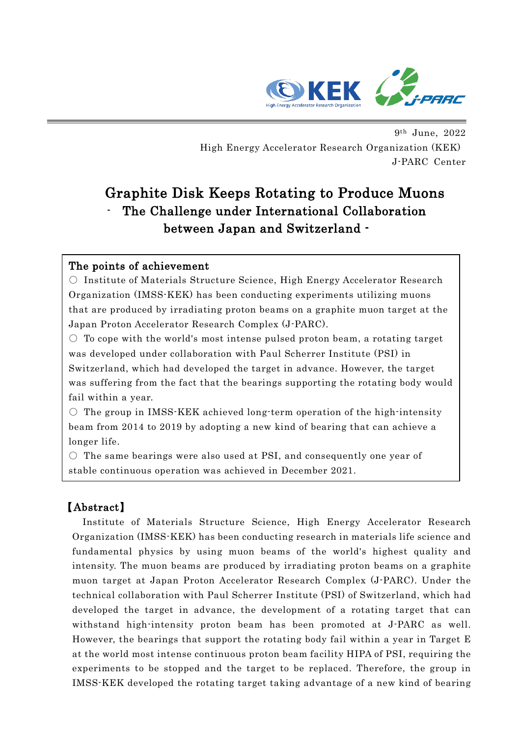

I

9th June, 2022 High Energy Accelerator Research Organization (KEK) J-PARC Center

# Graphite Disk Keeps Rotating to Produce Muons The Challenge under International Collaboration between Japan and Switzerland -

## The points of achievement

○ Institute of Materials Structure Science, High Energy Accelerator Research Organization (IMSS-KEK) has been conducting experiments utilizing muons that are produced by irradiating proton beams on a graphite muon target at the Japan Proton Accelerator Research Complex (J-PARC).

 $\circ$  To cope with the world's most intense pulsed proton beam, a rotating target was developed under collaboration with Paul Scherrer Institute (PSI) in Switzerland, which had developed the target in advance. However, the target was suffering from the fact that the bearings supporting the rotating body would fail within a year.

 $\circ$  The group in IMSS-KEK achieved long-term operation of the high-intensity beam from 2014 to 2019 by adopting a new kind of bearing that can achieve a longer life.

 $\circ$  The same bearings were also used at PSI, and consequently one year of stable continuous operation was achieved in December 2021.

## 【Abstract】

Institute of Materials Structure Science, High Energy Accelerator Research Organization (IMSS-KEK) has been conducting research in materials life science and fundamental physics by using muon beams of the world's highest quality and intensity. The muon beams are produced by irradiating proton beams on a graphite muon target at Japan Proton Accelerator Research Complex (J-PARC). Under the technical collaboration with Paul Scherrer Institute (PSI) of Switzerland, which had developed the target in advance, the development of a rotating target that can withstand high-intensity proton beam has been promoted at J-PARC as well. However, the bearings that support the rotating body fail within a year in Target E at the world most intense continuous proton beam facility HIPA of PSI, requiring the experiments to be stopped and the target to be replaced. Therefore, the group in IMSS-KEK developed the rotating target taking advantage of a new kind of bearing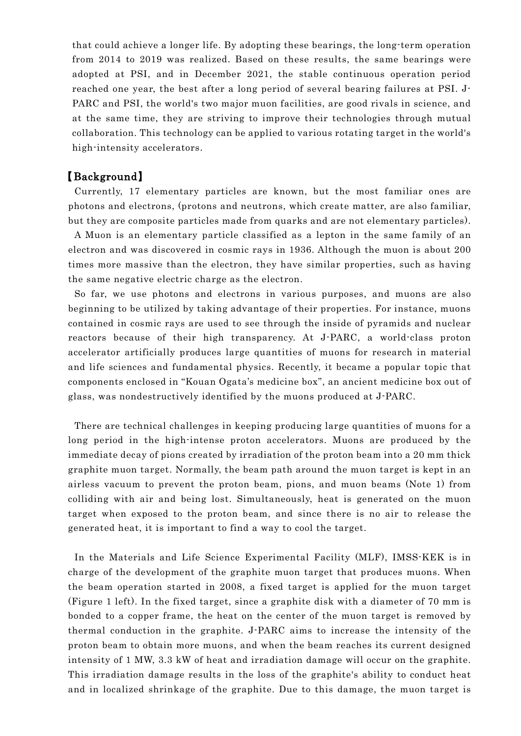that could achieve a longer life. By adopting these bearings, the long-term operation from 2014 to 2019 was realized. Based on these results, the same bearings were adopted at PSI, and in December 2021, the stable continuous operation period reached one year, the best after a long period of several bearing failures at PSI. J-PARC and PSI, the world's two major muon facilities, are good rivals in science, and at the same time, they are striving to improve their technologies through mutual collaboration. This technology can be applied to various rotating target in the world's high-intensity accelerators.

#### 【Background】

Currently, 17 elementary particles are known, but the most familiar ones are photons and electrons, (protons and neutrons, which create matter, are also familiar, but they are composite particles made from quarks and are not elementary particles).

A Muon is an elementary particle classified as a lepton in the same family of an electron and was discovered in cosmic rays in 1936. Although the muon is about 200 times more massive than the electron, they have similar properties, such as having the same negative electric charge as the electron.

So far, we use photons and electrons in various purposes, and muons are also beginning to be utilized by taking advantage of their properties. For instance, muons contained in cosmic rays are used to see through the inside of pyramids and nuclear reactors because of their high transparency. At J-PARC, a world-class proton accelerator artificially produces large quantities of muons for research in material and life sciences and fundamental physics. Recently, it became a popular topic that components enclosed in "Kouan Ogata's medicine box", an ancient medicine box out of glass, was nondestructively identified by the muons produced at J-PARC.

There are technical challenges in keeping producing large quantities of muons for a long period in the high-intense proton accelerators. Muons are produced by the immediate decay of pions created by irradiation of the proton beam into a 20 mm thick graphite muon target. Normally, the beam path around the muon target is kept in an airless vacuum to prevent the proton beam, pions, and muon beams (Note 1) from colliding with air and being lost. Simultaneously, heat is generated on the muon target when exposed to the proton beam, and since there is no air to release the generated heat, it is important to find a way to cool the target.

In the Materials and Life Science Experimental Facility (MLF), IMSS-KEK is in charge of the development of the graphite muon target that produces muons. When the beam operation started in 2008, a fixed target is applied for the muon target (Figure 1 left). In the fixed target, since a graphite disk with a diameter of 70 mm is bonded to a copper frame, the heat on the center of the muon target is removed by thermal conduction in the graphite. J-PARC aims to increase the intensity of the proton beam to obtain more muons, and when the beam reaches its current designed intensity of 1 MW, 3.3 kW of heat and irradiation damage will occur on the graphite. This irradiation damage results in the loss of the graphite's ability to conduct heat and in localized shrinkage of the graphite. Due to this damage, the muon target is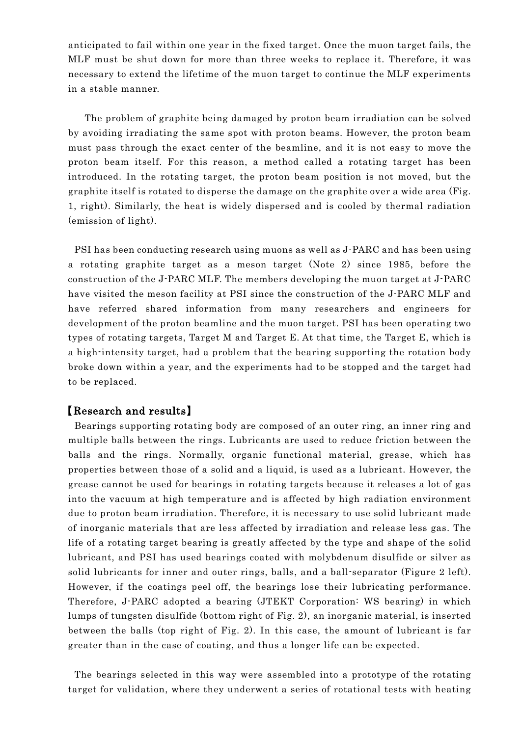anticipated to fail within one year in the fixed target. Once the muon target fails, the MLF must be shut down for more than three weeks to replace it. Therefore, it was necessary to extend the lifetime of the muon target to continue the MLF experiments in a stable manner.

The problem of graphite being damaged by proton beam irradiation can be solved by avoiding irradiating the same spot with proton beams. However, the proton beam must pass through the exact center of the beamline, and it is not easy to move the proton beam itself. For this reason, a method called a rotating target has been introduced. In the rotating target, the proton beam position is not moved, but the graphite itself is rotated to disperse the damage on the graphite over a wide area (Fig. 1, right). Similarly, the heat is widely dispersed and is cooled by thermal radiation (emission of light).

PSI has been conducting research using muons as well as J-PARC and has been using a rotating graphite target as a meson target (Note 2) since 1985, before the construction of the J-PARC MLF. The members developing the muon target at J-PARC have visited the meson facility at PSI since the construction of the J-PARC MLF and have referred shared information from many researchers and engineers for development of the proton beamline and the muon target. PSI has been operating two types of rotating targets, Target M and Target E. At that time, the Target E, which is a high-intensity target, had a problem that the bearing supporting the rotation body broke down within a year, and the experiments had to be stopped and the target had to be replaced.

## 【Research and results】

Bearings supporting rotating body are composed of an outer ring, an inner ring and multiple balls between the rings. Lubricants are used to reduce friction between the balls and the rings. Normally, organic functional material, grease, which has properties between those of a solid and a liquid, is used as a lubricant. However, the grease cannot be used for bearings in rotating targets because it releases a lot of gas into the vacuum at high temperature and is affected by high radiation environment due to proton beam irradiation. Therefore, it is necessary to use solid lubricant made of inorganic materials that are less affected by irradiation and release less gas. The life of a rotating target bearing is greatly affected by the type and shape of the solid lubricant, and PSI has used bearings coated with molybdenum disulfide or silver as solid lubricants for inner and outer rings, balls, and a ball-separator (Figure 2 left). However, if the coatings peel off, the bearings lose their lubricating performance. Therefore, J-PARC adopted a bearing (JTEKT Corporation: WS bearing) in which lumps of tungsten disulfide (bottom right of Fig. 2), an inorganic material, is inserted between the balls (top right of Fig. 2). In this case, the amount of lubricant is far greater than in the case of coating, and thus a longer life can be expected.

The bearings selected in this way were assembled into a prototype of the rotating target for validation, where they underwent a series of rotational tests with heating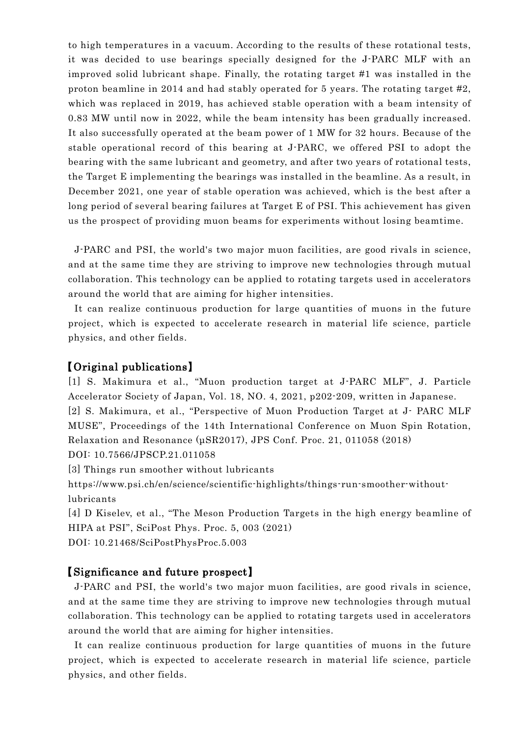to high temperatures in a vacuum. According to the results of these rotational tests, it was decided to use bearings specially designed for the J-PARC MLF with an improved solid lubricant shape. Finally, the rotating target #1 was installed in the proton beamline in 2014 and had stably operated for 5 years. The rotating target #2, which was replaced in 2019, has achieved stable operation with a beam intensity of 0.83 MW until now in 2022, while the beam intensity has been gradually increased. It also successfully operated at the beam power of 1 MW for 32 hours. Because of the stable operational record of this bearing at J-PARC, we offered PSI to adopt the bearing with the same lubricant and geometry, and after two years of rotational tests, the Target E implementing the bearings was installed in the beamline. As a result, in December 2021, one year of stable operation was achieved, which is the best after a long period of several bearing failures at Target E of PSI. This achievement has given us the prospect of providing muon beams for experiments without losing beamtime.

J-PARC and PSI, the world's two major muon facilities, are good rivals in science, and at the same time they are striving to improve new technologies through mutual collaboration. This technology can be applied to rotating targets used in accelerators around the world that are aiming for higher intensities.

It can realize continuous production for large quantities of muons in the future project, which is expected to accelerate research in material life science, particle physics, and other fields.

#### 【Original publications】

[1] S. Makimura et al., "Muon production target at J-PARC MLF", J. Particle Accelerator Society of Japan, Vol. 18, NO. 4, 2021, p202-209, written in Japanese. [2] S. Makimura, et al., "Perspective of Muon Production Target at J- PARC MLF MUSE", Proceedings of the 14th International Conference on Muon Spin Rotation, Relaxation and Resonance (μSR2017), JPS Conf. Proc. 21, 011058 (2018) DOI: 10.7566/JPSCP.21.011058

[3] Things run smoother without lubricants

https://www.psi.ch/en/science/scientific-highlights/things-run-smoother-withoutlubricants

[4] D Kiselev, et al., "The Meson Production Targets in the high energy beamline of HIPA at PSI", SciPost Phys. Proc. 5, 003 (2021) DOI: 10.21468/SciPostPhysProc.5.003

#### 【Significance and future prospect】

J-PARC and PSI, the world's two major muon facilities, are good rivals in science, and at the same time they are striving to improve new technologies through mutual collaboration. This technology can be applied to rotating targets used in accelerators around the world that are aiming for higher intensities.

It can realize continuous production for large quantities of muons in the future project, which is expected to accelerate research in material life science, particle physics, and other fields.